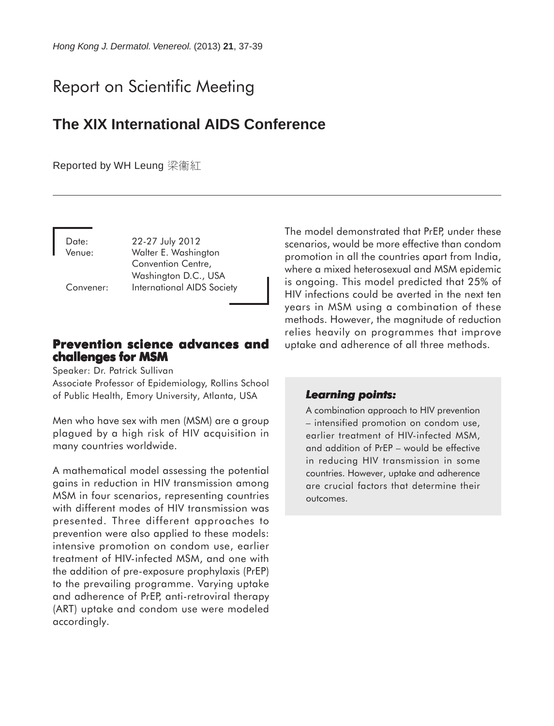# Report on Scientific Meeting

# **The XIX International AIDS Conference**

Reported by WH Leung 梁衞紅

Date: 22-27 July 2012 Venue: Walter E. Washington Convention Centre, Washington D.C., USA Convener: International AIDS Society

# **Prevention science advances and challenges for MSM**

Speaker: Dr. Patrick Sullivan

Associate Professor of Epidemiology, Rollins School of Public Health, Emory University, Atlanta, USA

Men who have sex with men (MSM) are a group plagued by a high risk of HIV acquisition in many countries worldwide.

A mathematical model assessing the potential gains in reduction in HIV transmission among MSM in four scenarios, representing countries with different modes of HIV transmission was presented. Three different approaches to prevention were also applied to these models: intensive promotion on condom use, earlier treatment of HIV-infected MSM, and one with the addition of pre-exposure prophylaxis (PrEP) to the prevailing programme. Varying uptake and adherence of PrEP, anti-retroviral therapy (ART) uptake and condom use were modeled accordingly.

The model demonstrated that PrEP, under these scenarios, would be more effective than condom promotion in all the countries apart from India, where a mixed heterosexual and MSM epidemic is ongoing. This model predicted that 25% of HIV infections could be averted in the next ten years in MSM using a combination of these methods. However, the magnitude of reduction relies heavily on programmes that improve uptake and adherence of all three methods.

# *Learning points: Learning points:*

A combination approach to HIV prevention – intensified promotion on condom use, earlier treatment of HIV-infected MSM, and addition of PrEP – would be effective in reducing HIV transmission in some countries. However, uptake and adherence are crucial factors that determine their outcomes.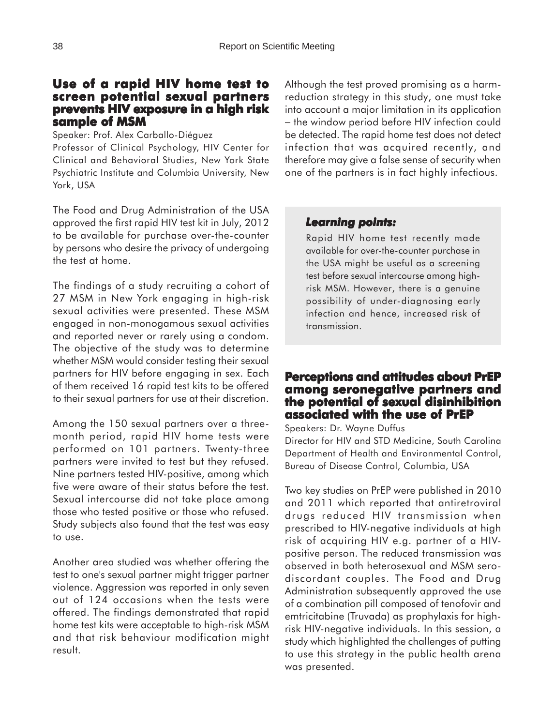# **Use of a rapid HIV home test to screen potential sexual partners prevents HIV exposure in a high risk sample of MSM**

Speaker: Prof. Alex Carballo-Diéguez

Professor of Clinical Psychology, HIV Center for Clinical and Behavioral Studies, New York State Psychiatric Institute and Columbia University, New York, USA

The Food and Drug Administration of the USA approved the first rapid HIV test kit in July, 2012 to be available for purchase over-the-counter by persons who desire the privacy of undergoing the test at home.

The findings of a study recruiting a cohort of 27 MSM in New York engaging in high-risk sexual activities were presented. These MSM engaged in non-monogamous sexual activities and reported never or rarely using a condom. The objective of the study was to determine whether MSM would consider testing their sexual partners for HIV before engaging in sex. Each of them received 16 rapid test kits to be offered to their sexual partners for use at their discretion.

Among the 150 sexual partners over a threemonth period, rapid HIV home tests were performed on 101 partners. Twenty-three partners were invited to test but they refused. Nine partners tested HIV-positive, among which five were aware of their status before the test. Sexual intercourse did not take place among those who tested positive or those who refused. Study subjects also found that the test was easy to use.

Another area studied was whether offering the test to one's sexual partner might trigger partner violence. Aggression was reported in only seven out of 124 occasions when the tests were offered. The findings demonstrated that rapid home test kits were acceptable to high-risk MSM and that risk behaviour modification might result.

Although the test proved promising as a harmreduction strategy in this study, one must take into account a major limitation in its application − the window period before HIV infection could be detected. The rapid home test does not detect infection that was acquired recently, and therefore may give a false sense of security when one of the partners is in fact highly infectious.

#### *Learning points: Learning points:*

Rapid HIV home test recently made available for over-the-counter purchase in the USA might be useful as a screening test before sexual intercourse among highrisk MSM. However, there is a genuine possibility of under-diagnosing early infection and hence, increased risk of transmission.

# **Perceptions and attitudes about PrEP among seronegative partners and the potential of sexual disinhibition associated with the use of PrEP**

Speakers: Dr. Wayne Duffus

Director for HIV and STD Medicine, South Carolina Department of Health and Environmental Control, Bureau of Disease Control, Columbia, USA

Two key studies on PrEP were published in 2010 and 2011 which reported that antiretroviral drugs reduced HIV transmission when prescribed to HIV-negative individuals at high risk of acquiring HIV e.g. partner of a HIVpositive person. The reduced transmission was observed in both heterosexual and MSM serodiscordant couples. The Food and Drug Administration subsequently approved the use of a combination pill composed of tenofovir and emtricitabine (Truvada) as prophylaxis for highrisk HIV-negative individuals. In this session, a study which highlighted the challenges of putting to use this strategy in the public health arena was presented.